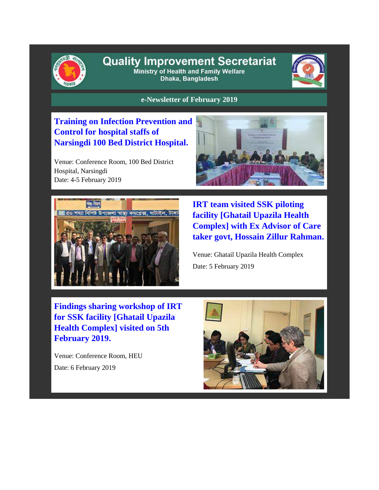

### **Quality Improvement Secretariat** Ministry of Health and Family Welfare

Dhaka, Bangladesh



**e-Newsletter of February 2019**

### **Training on Infection Prevention and Control for hospital staffs of Narsingdi 100 Bed District Hospital.**

Venue: Conference Room, 100 Bed District Hospital, Narsingdi Date: 4-5 February 2019





**IRT team visited SSK piloting facility [Ghatail Upazila Health Complex] with Ex Advisor of Care taker govt, Hossain Zillur Rahman.**

Venue: Ghatail Upazila Health Complex Date: 5 February 2019

**Findings sharing workshop of IRT for SSK facility [Ghatail Upazila Health Complex] visited on 5th February 2019.**

Venue: Conference Room, HEU Date: 6 February 2019

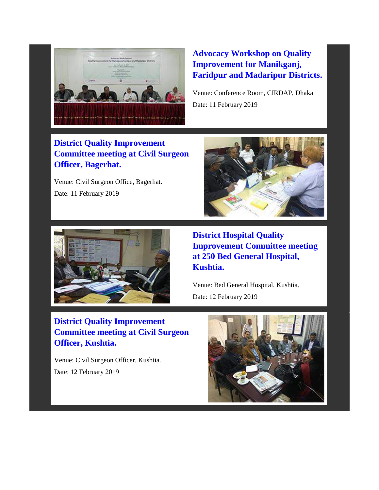

# **Advocacy Workshop on Quality Improvement for Manikganj, Faridpur and Madaripur Districts.**

Venue: Conference Room, CIRDAP, Dhaka Date: 11 February 2019

### **District Quality Improvement Committee meeting at Civil Surgeon Officer, Bagerhat.**

Venue: Civil Surgeon Office, Bagerhat. Date: 11 February 2019





**District Hospital Quality Improvement Committee meeting at 250 Bed General Hospital, Kushtia.**

Venue: Bed General Hospital, Kushtia. Date: 12 February 2019

# **District Quality Improvement Committee meeting at Civil Surgeon Officer, Kushtia.**

Venue: Civil Surgeon Officer, Kushtia. Date: 12 February 2019

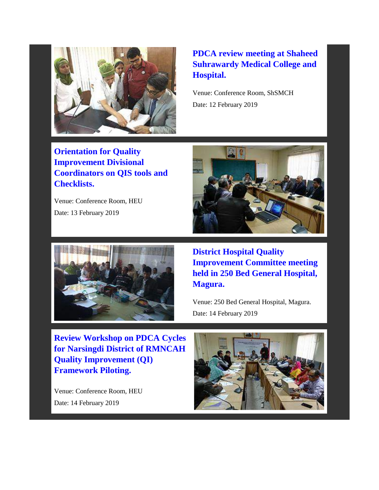

# **PDCA review meeting at Shaheed Suhrawardy Medical College and Hospital.**

Venue: Conference Room, ShSMCH Date: 12 February 2019

**Orientation for Quality Improvement Divisional Coordinators on QIS tools and Checklists.**

Venue: Conference Room, HEU Date: 13 February 2019





**District Hospital Quality Improvement Committee meeting held in 250 Bed General Hospital, Magura.**

Venue: 250 Bed General Hospital, Magura. Date: 14 February 2019

**Review Workshop on PDCA Cycles for Narsingdi District of RMNCAH Quality Improvement (QI) Framework Piloting.**

Venue: Conference Room, HEU Date: 14 February 2019

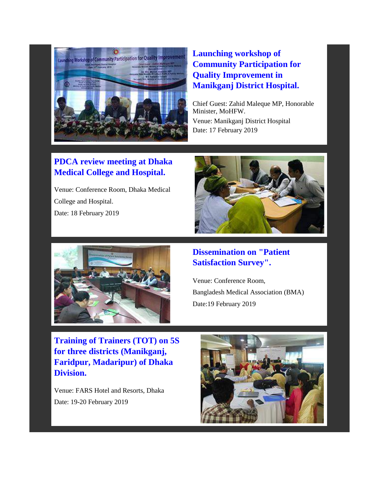

## **Launching workshop of Community Participation for Quality Improvement in Manikganj District Hospital.**

Chief Guest: Zahid Maleque MP, Honorable Minister, MoHFW. Venue: Manikganj District Hospital Date: 17 February 2019

# **PDCA review meeting at Dhaka Medical College and Hospital.**

Venue: Conference Room, Dhaka Medical College and Hospital. Date: 18 February 2019





### **Dissemination on "Patient Satisfaction Survey".**

Venue: Conference Room, [Bangladesh Medical Association](http://bma.org.bd/) (BMA) Date:19 February 2019

**Training of Trainers (TOT) on 5S for three districts (Manikganj, Faridpur, Madaripur) of Dhaka Division.**

Venue: FARS Hotel and Resorts, Dhaka Date: 19-20 February 2019

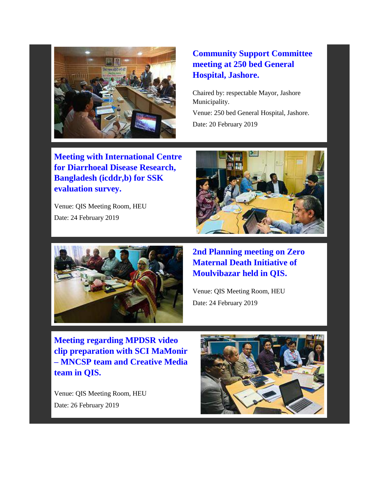

# **Community Support Committee meeting at 250 bed General Hospital, Jashore.**

Chaired by: respectable Mayor, Jashore Municipality. Venue: 250 bed General Hospital, Jashore. Date: 20 February 2019

**Meeting with International Centre for Diarrhoeal Disease Research, Bangladesh (icddr,b) for SSK evaluation survey.**

Venue: QIS Meeting Room, HEU Date: 24 February 2019





**2nd Planning meeting on Zero Maternal Death Initiative of Moulvibazar held in QIS.**

Venue: QIS Meeting Room, HEU Date: 24 February 2019

**Meeting regarding MPDSR video clip preparation with SCI MaMonir – MNCSP team and Creative Media team in QIS.**

Venue: QIS Meeting Room, HEU Date: 26 February 2019

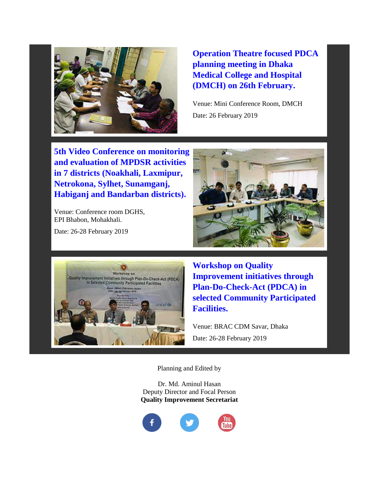

**Operation Theatre focused PDCA planning meeting in Dhaka Medical College and Hospital (DMCH) on 26th February.**

Venue: Mini Conference Room, DMCH Date: 26 February 2019

**5th Video Conference on monitoring and evaluation of MPDSR activities in 7 districts (Noakhali, Laxmipur, Netrokona, Sylhet, Sunamganj, Habiganj and Bandarban districts).** 

Venue: Conference room DGHS, EPI Bhabon, Mohakhali.

Date: 26-28 February 2019





**Workshop on Quality Improvement initiatives through Plan-Do-Check-Act (PDCA) in selected Community Participated Facilities.**

Venue: BRAC CDM Savar, Dhaka Date: 26-28 February 2019

Planning and Edited by

Dr. Md. Aminul Hasan Deputy Director and Focal Person **Quality Improvement Secretariat**